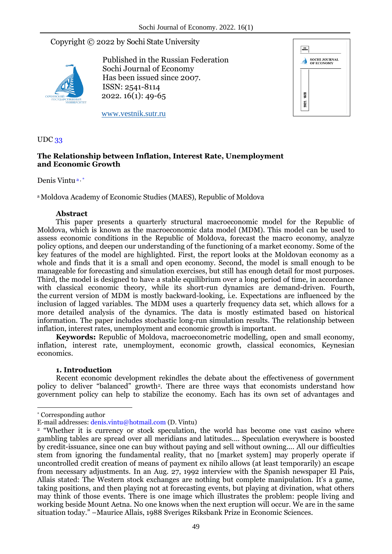# Copyright © 2022 by Sochi State University



Published in the Russian Federation Sochi Journal of Economy Has been issued since 2007. ISSN: 2541-8114 2022. 16(1): 49-65



www.vestnik.sutr.ru

# UDC 33

# **The Relationship between Inflation, Interest Rate, Unemployment and Economic Growth**

Denis Vintua,\*

a Moldova Academy of Economic Studies (MAES), Republic of Moldova

# **Abstract**

This paper presents a quarterly structural macroeconomic model for the Republic of Moldova, which is known as the macroeconomic data model (MDM). This model can be used to assess economic conditions in the Republic of Moldova, forecast the macro economy, analyze policy options, and deepen our understanding of the functioning of a market economy. Some of the key features of the model are highlighted. First, the report looks at the Moldovan economy as a whole and finds that it is a small and open economy. Second, the model is small enough to be manageable for forecasting and simulation exercises, but still has enough detail for most purposes. Third, the model is designed to have a stable equilibrium over a long period of time, in accordance with classical economic theory, while its short-run dynamics are demand-driven. Fourth, the current version of MDM is mostly backward-looking, i.e. Expectations are influenced by the inclusion of lagged variables. The MDM uses a quarterly frequency data set, which allows for a more detailed analysis of the dynamics. The data is mostly estimated based on historical information. The paper includes stochastic long-run simulation results. The relationship between inflation, interest rates, unemployment and economic growth is important.

**Keywords:** Republic of Moldova, macroeconometric modelling, open and small economy, inflation, interest rate, unemployment, economic growth, classical economics, Keynesian economics.

### **1. Introduction**

Recent economic development rekindles the debate about the effectiveness of government policy to deliver "balanced" growth<sup>2</sup> . There are three ways that economists understand how government policy can help to stabilize the economy. Each has its own set of advantages and

1

<sup>\*</sup> Corresponding author

E-mail addresses: denis.vintu@hotmail.com (D. Vintu)

<sup>2</sup> "Whether it is currency or stock speculation, the world has become one vast casino where gambling tables are spread over all meridians and latitudes.... Speculation everywhere is boosted by credit-issuance, since one can buy without paying and sell without owning.... All our difficulties stem from ignoring the fundamental reality, that no [market system] may properly operate if uncontrolled credit creation of means of payment ex nihilo allows (at least temporarily) an escape from necessary adjustments. In an Aug. 27, 1992 interview with the Spanish newspaper El País, Allais stated: The Western stock exchanges are nothing but complete manipulation. It's a game, taking positions, and then playing not at forecasting events, but playing at divination, what others may think of those events. There is one image which illustrates the problem: people living and working beside Mount Aetna. No one knows when the next eruption will occur. We are in the same situation today." –Maurice Allais, 1988 Sveriges Riksbank Prize in Economic Sciences.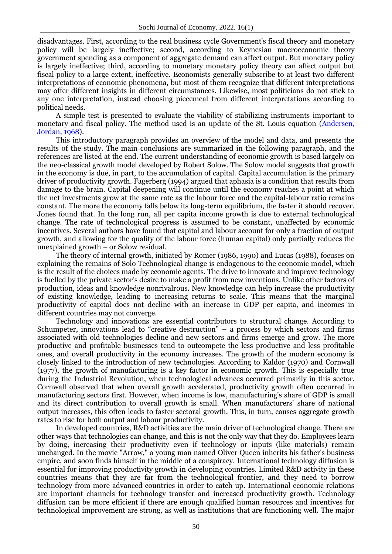disadvantages. First, according to the real business cycle Government's fiscal theory and monetary policy will be largely ineffective; second, according to Keynesian macroeconomic theory government spending as a component of aggregate demand can affect output. But monetary policy is largely ineffective; third, according to monetary monetary policy theory can affect output but fiscal policy to a large extent, ineffective. Economists generally subscribe to at least two different interpretations of economic phenomena, but most of them recognize that different interpretations may offer different insights in different circumstances. Likewise, most politicians do not stick to any one interpretation, instead choosing piecemeal from different interpretations according to political needs.

A simple test is presented to evaluate the viability of stabilizing instruments important to monetary and fiscal policy. The method used is an update of the St. Louis equation (Andersen, Jordan, 1968).

This introductory paragraph provides an overview of the model and data, and presents the results of the study. The main conclusions are summarized in the following paragraph, and the references are listed at the end. The current understanding of economic growth is based largely on the neo-classical growth model developed by Robert Solow. The Solow model suggests that growth in the economy is due, in part, to the accumulation of capital. Capital accumulation is the primary driver of productivity growth. Fagerberg (1994) argued that aphasia is a condition that results from damage to the brain. Capital deepening will continue until the economy reaches a point at which the net investments grow at the same rate as the labour force and the capital-labour ratio remains constant. The more the economy falls below its long-term equilibrium, the faster it should recover. Jones found that. In the long run, all per capita income growth is due to external technological change. The rate of technological progress is assumed to be constant, unaffected by economic incentives. Several authors have found that capital and labour account for only a fraction of output growth, and allowing for the quality of the labour force (human capital) only partially reduces the unexplained growth – or Solow residual.

The theory of internal growth, initiated by Romer (1986, 1990) and Lucas (1988), focuses on explaining the remains of Solo Technological change is endogenous to the economic model, which is the result of the choices made by economic agents. The drive to innovate and improve technology is fuelled by the private sector's desire to make a profit from new inventions. Unlike other factors of production, ideas and knowledge nonrivalrous. New knowledge can help increase the productivity of existing knowledge, leading to increasing returns to scale. This means that the marginal productivity of capital does not decline with an increase in GDP per capita, and incomes in different countries may not converge.

Technology and innovations are essential contributors to structural change. According to Schumpeter, innovations lead to "creative destruction" – a process by which sectors and firms associated with old technologies decline and new sectors and firms emerge and grow. The more productive and profitable businesses tend to outcompete the less productive and less profitable ones, and overall productivity in the economy increases. The growth of the modern economy is closely linked to the introduction of new technologies. According to Kaldor (1970) and Cornwall (1977), the growth of manufacturing is a key factor in economic growth. This is especially true during the Industrial Revolution, when technological advances occurred primarily in this sector. Cornwall observed that when overall growth accelerated, productivity growth often occurred in manufacturing sectors first. However, when income is low, manufacturing's share of GDP is small and its direct contribution to overall growth is small. When manufacturers' share of national output increases, this often leads to faster sectoral growth. This, in turn, causes aggregate growth rates to rise for both output and labour productivity.

In developed countries, R&D activities are the main driver of technological change. There are other ways that technologies can change, and this is not the only way that they do. Employees learn by doing, increasing their productivity even if technology or inputs (like materials) remain unchanged. In the movie "Arrow," a young man named Oliver Queen inherits his father's business empire, and soon finds himself in the middle of a conspiracy. International technology diffusion is essential for improving productivity growth in developing countries. Limited R&D activity in these countries means that they are far from the technological frontier, and they need to borrow technology from more advanced countries in order to catch up. International economic relations are important channels for technology transfer and increased productivity growth. Technology diffusion can be more efficient if there are enough qualified human resources and incentives for technological improvement are strong, as well as institutions that are functioning well. The major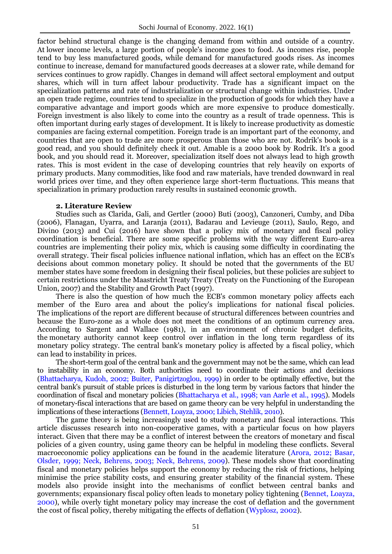factor behind structural change is the changing demand from within and outside of a country. At lower income levels, a large portion of people's income goes to food. As incomes rise, people tend to buy less manufactured goods, while demand for manufactured goods rises. As incomes continue to increase, demand for manufactured goods decreases at a slower rate, while demand for services continues to grow rapidly. Changes in demand will affect sectoral employment and output shares, which will in turn affect labour productivity. Trade has a significant impact on the specialization patterns and rate of industrialization or structural change within industries. Under an open trade regime, countries tend to specialize in the production of goods for which they have a comparative advantage and import goods which are more expensive to produce domestically. Foreign investment is also likely to come into the country as a result of trade openness. This is often important during early stages of development. It is likely to increase productivity as domestic companies are facing external competition. Foreign trade is an important part of the economy, and countries that are open to trade are more prosperous than those who are not. Rodrik's book is a good read, and you should definitely check it out. Amable is a 2000 book by Rodrik. It's a good book, and you should read it. Moreover, specialization itself does not always lead to high growth rates. This is most evident in the case of developing countries that rely heavily on exports of primary products. Many commodities, like food and raw materials, have trended downward in real world prices over time, and they often experience large short-term fluctuations. This means that specialization in primary production rarely results in sustained economic growth.

#### **2. Literature Review**

Studies such as Clarida, Gali, and Gertler (2000) Buti (2003), Canzoneri, Cumby, and Diba (2006), Flanagan, Uyarra, and Laranja (2011), Badarau and Levieuge (2011), Saulo, Rego, and Divino (2013) and Cui (2016) have shown that a policy mix of monetary and fiscal policy coordination is beneficial. There are some specific problems with the way different Euro-area countries are implementing their policy mix, which is causing some difficulty in coordinating the overall strategy. Their fiscal policies influence national inflation, which has an effect on the ECB's decisions about common monetary policy. It should be noted that the governments of the EU member states have some freedom in designing their fiscal policies, but these policies are subject to certain restrictions under the Maastricht Treaty Treaty (Treaty on the Functioning of the European Union, 2007) and the Stability and Growth Pact (1997).

There is also the question of how much the ECB's common monetary policy affects each member of the Euro area and about the policy's implications for national fiscal policies. The implications of the report are different because of structural differences between countries and because the Euro-zone as a whole does not meet the conditions of an optimum currency area. According to Sargent and Wallace (1981), in an environment of chronic budget deficits, the monetary authority cannot keep control over inflation in the long term regardless of its monetary policy strategy. The central bank's monetary policy is affected by a fiscal policy, which can lead to instability in prices.

The short-term goal of the central bank and the government may not be the same, which can lead to instability in an economy. Both authorities need to coordinate their actions and decisions (Bhattacharya, Kudoh, 2002; Buiter, Panigirtzoglou, 1999) in order to be optimally effective, but the central bank's pursuit of stable prices is disturbed in the long term by various factors that hinder the coordination of fiscal and monetary policies (Bhattacharya et al., 1998; van Aarle et al., 1995). Models of monetary-fiscal interactions that are based on game theory can be very helpful in understanding the implications of these interactions (Bennett, Loayza, 2000; Libich, Stehlik, 2010).

The game theory is being increasingly used to study monetary and fiscal interactions. This article discusses research into non-cooperative games, with a particular focus on how players interact. Given that there may be a conflict of interest between the creators of monetary and fiscal policies of a given country, using game theory can be helpful in modeling these conflicts. Several macroeconomic policy applications can be found in the academic literature (Arora, 2012; Basar, Olsder, 1999; Neck, Behrens, 2003; Neck, Behrens, 2009). These models show that coordinating fiscal and monetary policies helps support the economy by reducing the risk of frictions, helping minimise the price stability costs, and ensuring greater stability of the financial system. These models also provide insight into the mechanisms of conflict between central banks and governments; expansionary fiscal policy often leads to monetary policy tightening (Bennet, Loayza, 2000), while overly tight monetary policy may increase the cost of deflation and the government the cost of fiscal policy, thereby mitigating the effects of deflation (Wyplosz, 2002).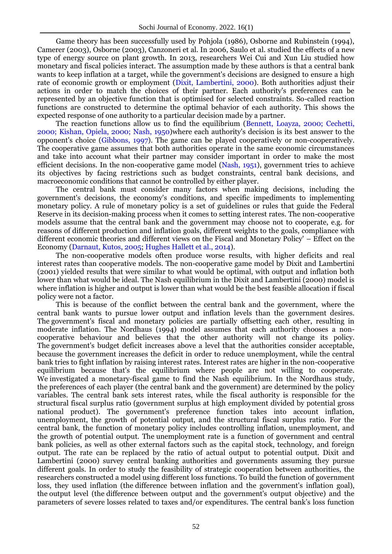Game theory has been successfully used by Pohjola (1986), Osborne and Rubinstein (1994), Camerer (2003), Osborne (2003), Canzoneri et al. In 2006, Saulo et al. studied the effects of a new type of energy source on plant growth. In 2013, researchers Wei Cui and Xun Liu studied how monetary and fiscal policies interact. The assumption made by these authors is that a central bank wants to keep inflation at a target, while the government's decisions are designed to ensure a high rate of economic growth or employment (Dixit, Lambertini, 2000). Both authorities adjust their actions in order to match the choices of their partner. Each authority's preferences can be represented by an objective function that is optimised for selected constraints. So-called reaction functions are constructed to determine the optimal behavior of each authority. This shows the expected response of one authority to a particular decision made by a partner.

The reaction functions allow us to find the equilibrium (Bennett, Loayza, 2000; Cechetti, 2000; Kishan, Opiela, 2000; Nash, 1950)where each authority's decision is its best answer to the opponent's choice (Gibbons, 1997). The game can be played cooperatively or non-cooperatively. The cooperative game assumes that both authorities operate in the same economic circumstances and take into account what their partner may consider important in order to make the most efficient decisions. In the non-cooperative game model (Nash, 1951), government tries to achieve its objectives by facing restrictions such as budget constraints, central bank decisions, and macroeconomic conditions that cannot be controlled by either player.

The central bank must consider many factors when making decisions, including the government's decisions, the economy's conditions, and specific impediments to implementing monetary policy. A rule of monetary policy is a set of guidelines or rules that guide the Federal Reserve in its decision-making process when it comes to setting interest rates. The non-cooperative models assume that the central bank and the government may choose not to cooperate, e.g. for reasons of different production and inflation goals, different weights to the goals, compliance with different economic theories and different views on the Fiscal and Monetary Policy' – Effect on the Economy (Darnaut, Kutos, 2005; Hughes Hallett et al., 2014).

The non-cooperative models often produce worse results, with higher deficits and real interest rates than cooperative models. The non-cooperative game model by Dixit and Lambertini (2001) yielded results that were similar to what would be optimal, with output and inflation both lower than what would be ideal. The Nash equilibrium in the Dixit and Lambertini (2000) model is where inflation is higher and output is lower than what would be the best feasible allocation if fiscal policy were not a factor.

This is because of the conflict between the central bank and the government, where the central bank wants to pursue lower output and inflation levels than the government desires. The government's fiscal and monetary policies are partially offsetting each other, resulting in moderate inflation. The Nordhaus (1994) model assumes that each authority chooses a noncooperative behaviour and believes that the other authority will not change its policy. The government's budget deficit increases above a level that the authorities consider acceptable, because the government increases the deficit in order to reduce unemployment, while the central bank tries to fight inflation by raising interest rates. Interest rates are higher in the non-cooperative equilibrium because that's the equilibrium where people are not willing to cooperate. We investigated a monetary-fiscal game to find the Nash equilibrium. In the Nordhaus study, the preferences of each player (the central bank and the government) are determined by the policy variables. The central bank sets interest rates, while the fiscal authority is responsible for the structural fiscal surplus ratio (government surplus at high employment divided by potential gross national product). The government's preference function takes into account inflation, unemployment, the growth of potential output, and the structural fiscal surplus ratio. For the central bank, the function of monetary policy includes controlling inflation, unemployment, and the growth of potential output. The unemployment rate is a function of government and central bank policies, as well as other external factors such as the capital stock, technology, and foreign output. The rate can be replaced by the ratio of actual output to potential output. Dixit and Lambertini (2000) survey central banking authorities and governments assuming they pursue different goals. In order to study the feasibility of strategic cooperation between authorities, the researchers constructed a model using different loss functions. To build the function of government loss, they used inflation (the difference between inflation and the government's inflation goal), the output level (the difference between output and the government's output objective) and the parameters of severe losses related to taxes and/or expenditures. The central bank's loss function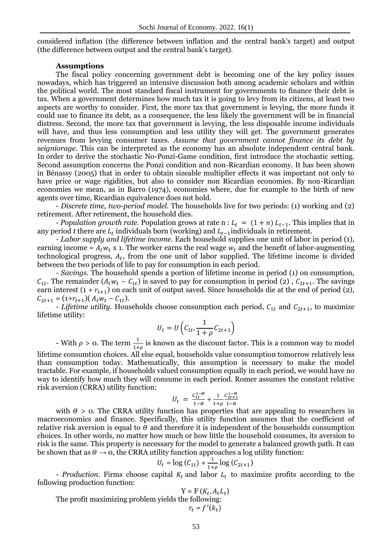considered inflation (the difference between inflation and the central bank's target) and output (the difference between output and the central bank's target).

#### **Assumptions**

The fiscal policy concerning government debt is becoming one of the key policy issues nowadays, which has triggered an intensive discussion both among academic scholars and within the political world. The most standard fiscal instrument for governments to finance their debt is tax. When a government determines how much tax it is going to levy from its citizens, at least two aspects are worthy to consider. First, the more tax that government is levying, the more funds it could use to finance its debt, as a consequence, the less likely the government will be in financial distress. Second, the more tax that government is levying, the less disposable income individuals will have, and thus less consumption and less utility they will get. The government generates revenues from levying consumer taxes. *Assume that government cannot finance its debt by seigniorage*. This can be interpreted as the economy has an absolute independent central bank. In order to derive the stochastic No-Ponzi-Game condition, first introduce the stochastic setting. Second assumption concerns the Ponzi condition and non-Ricardian economy. It has been shown in Bénassy (2005) that in order to obtain sizeable multiplier effects it was important not only to have price or wage rigidities, but also to consider non Ricardian economies. By non-Ricardian economies we mean, as in Barro (1974), economies where, due for example to the birth of new agents over time, Ricardian equivalence does not hold.

*- Discrete time, two-period model*. The households live for two periods: (1) working and (2) retirement. After retirement, the household dies.

*- Population growth rate.* Population grows at rate  $n : L_t = (1 + n) L_{t-1}$ . This implies that in any period *t* there are  $L_t$  individuals born (working) and  $L_{t-1}$  individuals in retirement.

*- Labor supply and lifetime income.* Each household supplies one unit of labor in period (1), earning income =  $A_t w_t$  x 1. The worker earns the real wage  $w_t$  and the benefit of labor-augmenting technological progress,  $A_t$ , from the one unit of labor supplied. The lifetime income is divided between the two periods of life to pay for consumption in each period.

*- Savings.* The household spends a portion of lifetime income in period (1) on consumption,  $C_{1t}$ . The remainder  $(A_t w_t - C_{1t})$  is saved to pay for consumption in period (2),  $C_{2t+1}$ . The savings earn interest  $(1 + r_{t+1})$  on each unit of output saved. Since households die at the end of period (2),  $C_{2t+1} = (1 + r_{t+1}) (A_t w_t - C_{1t}).$ 

*- Lifetime utility.* Households choose consumption each period,  $C_{1t}$  and  $C_{2t+1}$ , to maximize lifetime utility:

$$
U_t = U\left(C_{1t}, \frac{1}{1+\rho}C_{2t+1}\right)
$$

- With  $\rho > 0$ . The term  $\frac{1}{1+\rho}$  is known as the discount factor. This is a common way to model lifetime consumtion choices. All else equal, households value consumption tomorrow relatively less than consumption today. Mathematically, this assumption is necessary to make the model tractable. For example, if households valued consumption equally in each period, we would have no way to identify how much they will consume in each period. Romer assumes the constant relative risk aversion (CRRA) utility function:

$$
U_t = \frac{C_{1t}^{1-\theta}}{1-\theta} + \frac{1}{1+\rho} \frac{C_{2t+1}^{1-\theta}}{1-\theta}
$$

with  $\theta > 0$ . The CRRA utility function has properties that are appealing to researchers in macroeconomics and finance. Specifically, this utility function assumes that the coefficient of relative risk aversion is equal to  $\theta$  and therefore it is independent of the households consumption choices. In other words, no matter how much or how little the household consumes, its aversion to risk is the same. This property is necessary for the model to generate a balanced growth path. It can be shown that as  $\theta \rightarrow o$ , the CRRA utility function approaches a log utility function:

$$
U_t = \log (C_{1t}) + \frac{1}{1+\rho} \log (C_{2t+1})
$$

*- Production.* Firms choose capital  $K_t$  and labor  $L_t$  to maximize profits according to the following production function:

$$
Y = F(K_t, A_t L_t)
$$

The profit maximizing problem yields the following:  $r_t = f'(k)$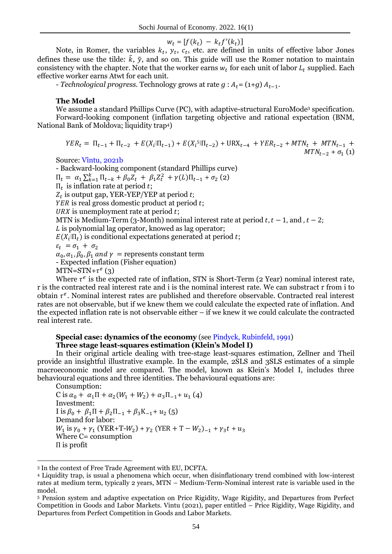$$
w_t = [f(k_t) - k_t f'(k_t)]
$$

Note, in Romer, the variables  $k_t$ ,  $y_t$ ,  $c_t$ , etc. are defined in units of effective labor Jones defines these use the tilde:  $\tilde{k}$ ,  $\tilde{y}$ , and so on. This guide will use the Romer notation to maintain consistency with the chapter. Note that the worker earns  $w_t$  for each unit of labor  $L_t$  supplied. Each effective worker earns Atwt for each unit.

*- Technological progress.* Technology grows at rate  $g : A_t = (1+g) A_{t-1}$ .

#### **The Model**

We assume a standard Phillips Curve (PC), with adaptive-structural EuroMode<sup>3</sup> specification.

Forward-looking component (inflation targeting objective and rational expectation (BNM, National Bank of Moldova; liquidity trap4)

$$
YER_t = \Pi_{t-1} + \Pi_{t-2} + E(X_i|\Pi_{t-1}) + E(X_i|\Pi_{t-2}) + \text{URX}_{t-4} + YER_{t-2} + MTN_t + MTN_{t-1} + \text{MTN}_{t-2} + \sigma_1(1)
$$

Source: Vîntu, 2021b

- Backward-looking component (standard Phillips curve)  $\Pi_t = \alpha_1 \sum_{k=1}^k \Pi_{t-k} + \beta_0 Z_t + \beta_1 Z_t^2 + \gamma(L) \Pi_{t-1} + \sigma_2$  (2)  $\Pi_t$  is inflation rate at period t;  $Z_t$  is output gap, YER-YEP/YEP at period  $YER$  is real gross domestic product at period  $t$ ; URX is unemployment rate at period  $t$ ; MTN is Medium-Term (3-Month) nominal interest rate at period t,  $t - 1$ , and  $t - 2$ ;  *is polynomial lag operator, knowed as lag operator;*  $E(X_i | \Pi_t)$  is conditional expectations generated at period t;  $\varepsilon_t = \sigma_1 + \sigma_2$  $\alpha_0$ ,  $\alpha_1$ ,  $\beta_0$ ,  $\beta_1$  and  $\gamma$  = represents constant term - Expected inflation (Fisher equation)  $MTN = STN + \tau^e(3)$ 

Where  $\tau^e$  is the expected rate of inflation, STN is Short-Term (2 Year) nominal interest rate, r is the contracted real interest rate and i is the nominal interest rate. We can substract r from i to obtain  $\tau^e$ . Nominal interest rates are published and therefore observable. Contracted real interest rates are not observable, but if we knew them we could calculate the expected rate of inflation. And the expected inflation rate is not observable either – if we knew it we could calculate the contracted real interest rate.

#### **Special case: dynamics of the economy** (see Pindyck, Rubinfeld, 1991) **Three stage least-squares estimation (Klein's Model I)**

In their original article dealing with tree-stage least-squares estimation, Zellner and Theil provide an insightful illustrative example. In the example, 2SLS and 3SLS estimates of a simple macroeconomic model are compared. The model, known as Klein's Model I, includes three behavioural equations and three identities. The behavioural equations are:

Consumption:

<u>.</u>

C is  $\alpha_0 + \alpha_1 \Pi + \alpha_2 (W_1 + W_2) + \alpha_3 \Pi_{-1} + u_1 (4)$ Investment: I is  $\beta_0 + \beta_1 \Pi + \beta_2 \Pi_{-1} + \beta_3 K_{-1} + u_2$  (5) Demand for labor:  $W_1$  is  $\gamma_0 + \gamma_1$  (YER+T- $W_2$ ) +  $\gamma_2$  (YER + T –  $W_2$ )<sub>-1</sub> +  $\gamma_3 t$  +  $u_3$ Where C= consumption  $\Pi$  is profit

<sup>3</sup> In the context of Free Trade Agreement with EU, DCFTA.

<sup>4</sup> Liquidity trap, is usual a phenomena which occur, when disinflationary trend combined with low-interest rates at medium term, typically 2 years, MTN – Medium-Term-Nominal interest rate is variable used in the model.

<sup>5</sup> Pension system and adaptive expectation on Price Rigidity, Wage Rigidity, and Departures from Perfect Competition in Goods and Labor Markets. Vintu (2021), paper entitled – Price Rigidity, Wage Rigidity, and Departures from Perfect Competition in Goods and Labor Markets.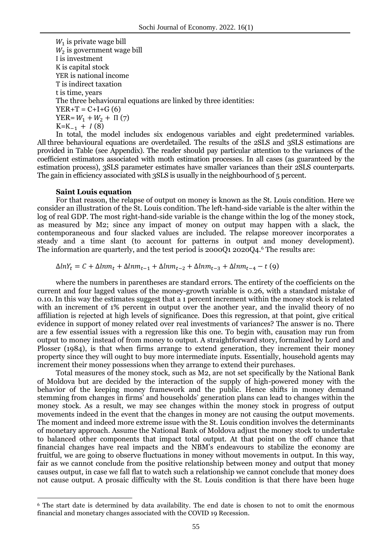$W_1$  is private wage bill  $W_2$  is government wage bill I is investment K is capital stock YER is national income T is indirect taxation t is time, years The three behavioural equations are linked by three identities:  $YER+T = C+I+G(6)$ YER=  $W_1 + W_2 + \Pi(7)$  $K = K_{-1} + I(8)$ 

In total, the model includes six endogenous variables and eight predetermined variables. All three behavioural equations are overdetailed. The results of the 2SLS and 3SLS estimations are provided in Table (see Appendix). The reader should pay particular attention to the variances of the coefficient estimators associated with moth estimation processes. In all cases (as guaranteed by the estimation process), 3SLS parameter estimates have smaller variances than their 2SLS counterparts. The gain in efficiency associated with 3SLS is usually in the neighbourhood of 5 percent.

#### **Saint Louis equation**

1

For that reason, the relapse of output on money is known as the St. Louis condition. Here we consider an illustration of the St. Louis condition. The left-hand-side variable is the alter within the log of real GDP. The most right-hand-side variable is the change within the log of the money stock, as measured by M2; since any impact of money on output may happen with a slack, the contemporaneous and four slacked values are included. The relapse moreover incorporates a steady and a time slant (to account for patterns in output and money development). The information are quarterly, and the test period is 2000Q1 2020Q4.<sup>6</sup> The results are:

$$
\Delta ln Y_t = C + \Delta l n m_t + \Delta l n m_{t-1} + \Delta l n m_{t-2} + \Delta l n m_{t-3} + \Delta l n m_{t-4} - t
$$
 (9)

where the numbers in parentheses are standard errors. The entirety of the coefficients on the current and four lagged values of the money-growth variable is 0.26, with a standard mistake of 0.10. In this way the estimates suggest that a 1 percent increment within the money stock is related with an increment of 1% percent in output over the another year, and the invalid theory of no affiliation is rejected at high levels of significance. Does this regression, at that point, give critical evidence in support of money related over real investments of variances? The answer is no. There are a few essential issues with a regression like this one. To begin with, causation may run from output to money instead of from money to output. A straightforward story, formalized by Lord and Plosser (1984), is that when firms arrange to extend generation, they increment their money property since they will ought to buy more intermediate inputs. Essentially, household agents may increment their money possessions when they arrange to extend their purchases.

Total measures of the money stock, such as M2, are not set specifically by the National Bank of Moldova but are decided by the interaction of the supply of high-powered money with the behavior of the keeping money framework and the public. Hence shifts in money demand stemming from changes in firms' and households' generation plans can lead to changes within the money stock. As a result, we may see changes within the money stock in progress of output movements indeed in the event that the changes in money are not causing the output movements. The moment and indeed more extreme issue with the St. Louis condition involves the determinants of monetary approach. Assume the National Bank of Moldova adjust the money stock to undertake to balanced other components that impact total output. At that point on the off chance that financial changes have real impacts and the NBM's endeavours to stabilize the economy are fruitful, we are going to observe fluctuations in money without movements in output. In this way, fair as we cannot conclude from the positive relationship between money and output that money causes output, in case we fall flat to watch such a relationship we cannot conclude that money does not cause output. A prosaic difficulty with the St. Louis condition is that there have been huge

<sup>6</sup> The start date is determined by data availability. The end date is chosen to not to omit the enormous financial and monetary changes associated with the COVID 19 Recession.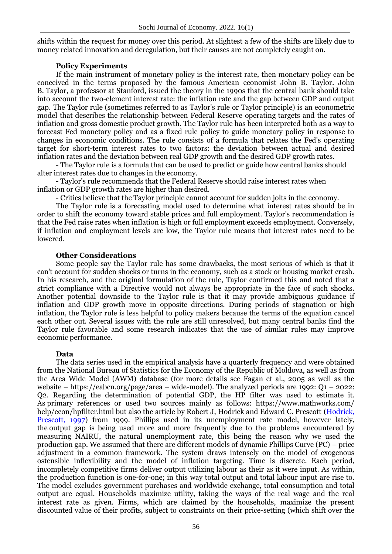shifts within the request for money over this period. At slightest a few of the shifts are likely due to money related innovation and deregulation, but their causes are not completely caught on.

### **Policy Experiments**

If the main instrument of monetary policy is the interest rate, then monetary policy can be conceived in the terms proposed by the famous American economist John B. Taylor. John B. Taylor, a professor at Stanford, issued the theory in the 1990s that the central bank should take into account the two-element interest rate: the inflation rate and the gap between GDP and output gap. The Taylor rule (sometimes referred to as Taylor's rule or Taylor principle) is an econometric model that describes the relationship between Federal Reserve operating targets and the rates of inflation and gross domestic product growth. The Taylor rule has been interpreted both as a way to forecast Fed monetary policy and as a fixed rule policy to guide monetary policy in response to changes in economic conditions. The rule consists of a formula that relates the Fed's operating target for short-term interest rates to two factors: the deviation between actual and desired inflation rates and the deviation between real GDP growth and the desired GDP growth rates.

- The Taylor rule is a formula that can be used to predict or guide how central banks should alter interest rates due to changes in the economy.

- Taylor's rule recommends that the Federal Reserve should raise interest rates when inflation or GDP growth rates are higher than desired.

- Critics believe that the Taylor principle cannot account for sudden jolts in the economy.

The Taylor rule is a forecasting model used to determine what interest rates should be in order to shift the economy toward stable prices and full employment. Taylor's recommendation is that the Fed raise rates when inflation is high or full employment exceeds employment. Conversely, if inflation and employment levels are low, the Taylor rule means that interest rates need to be lowered.

### **Other Considerations**

Some people say the Taylor rule has some drawbacks, the most serious of which is that it can't account for sudden shocks or turns in the economy, such as a stock or housing market crash. In his research, and the original formulation of the rule, Taylor confirmed this and noted that a strict compliance with a Directive would not always be appropriate in the face of such shocks. Another potential downside to the Taylor rule is that it may provide ambiguous guidance if inflation and GDP growth move in opposite directions. During periods of stagnation or high inflation, the Taylor rule is less helpful to policy makers because the terms of the equation cancel each other out. Several issues with the rule are still unresolved, but many central banks find the Taylor rule favorable and some research indicates that the use of similar rules may improve economic performance.

### **Data**

The data series used in the empirical analysis have a quarterly frequency and were obtained from the National Bureau of Statistics for the Economy of the Republic of Moldova, as well as from the Area Wide Model (AWM) database (for more details see Fagan et al., 2005 as well as the website – https://eabcn.org/page/area – wide-model). The analyzed periods are 1992: Q1 – 2022: Q2. Regarding the determination of potential GDP, the HP filter was used to estimate it. As primary references or used two sources mainly as follows: https://www.mathworks.com/ help/econ/hpfilter.html but also the article by Robert J, Hodrick and Edward C. Prescott (Hodrick, Prescott, 1997) from 1999. Phillips used in its unemployment rate model, however lately, the output gap is being used more and more frequently due to the problems encountered by measuring NAIRU, the natural unemployment rate, this being the reason why we used the production gap. We assumed that there are different models of dynamic Phillips Curve (PC) – price adjustment in a common framework. The system draws intensely on the model of exogenous ostensible inflexibility and the model of inflation targeting. Time is discrete. Each period, incompletely competitive firms deliver output utilizing labour as their as it were input. As within, the production function is one-for-one; in this way total output and total labour input are rise to. The model excludes government purchases and worldwide exchange, total consumption and total output are equal. Households maximize utility, taking the ways of the real wage and the real interest rate as given. Firms, which are claimed by the households, maximize the present discounted value of their profits, subject to constraints on their price-setting (which shift over the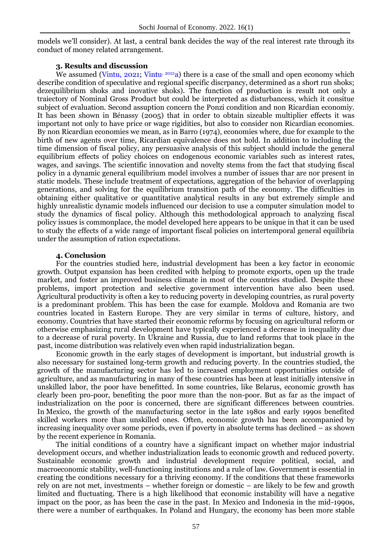models we'll consider). At last, a central bank decides the way of the real interest rate through its conduct of money related arrangement.

### **3. Results and discussion**

We assumed (Vintu, 2021; Vintu,  $20^{21}a$ ) there is a case of the small and open economy which describe condition of speculative and regional specific discrpancy, determined as a short run shoks; dezequilibrium shoks and inovative shoks). The function of production is result not only a traiectory of Nominal Gross Product but could be interpreted as disturbancess, which it consitue subject of evaluation. Second assuption concern the Ponzi condition and non Ricardian economiy. It has been shown in Bénassy (2005) that in order to obtain sizeable multiplier effects it was important not only to have price or wage rigidities, but also to consider non Ricardian economies. By non Ricardian economies we mean, as in Barro (1974), economies where, due for example to the birth of new agents over time, Ricardian equivalence does not hold. In addition to including the time dimension of fiscal policy, any persuasive analysis of this subject should include the general equilibrium effects of policy choices on endogenous economic variables such as interest rates, wages, and savings. The scientific innovation and novelty stems from the fact that studying fiscal policy in a dynamic general equilibrium model involves a number of issues thar are nor present in static models. These include treatment of expectations, aggregation of the behavior of overlapping generations, and solving for the equilibrium transition path of the economy. The difficulties in obtaining either qualitative or quantitative analytical results in any but extremely simple and highly unrealistic dynamic models influenced our decision to use a computer simulation model to study the dynamics of fiscal policy. Although this methodological approach to analyzing fiscal policy issues is commonplace, the model developed here appears to be unique in that it can be used to study the effects of a wide range of important fiscal policies on intertemporal general equilibria under the assumption of ration expectations.

# **4. Conclusion**

For the countries studied here, industrial development has been a key factor in economic growth. Output expansion has been credited with helping to promote exports, open up the trade market, and foster an improved business climate in most of the countries studied. Despite these problems, import protection and selective government intervention have also been used. Agricultural productivity is often a key to reducing poverty in developing countries, as rural poverty is a predominant problem. This has been the case for example. Moldova and Romania are two countries located in Eastern Europe. They are very similar in terms of culture, history, and economy. Countries that have started their economic reforms by focusing on agricultural reform or otherwise emphasizing rural development have typically experienced a decrease in inequality due to a decrease of rural poverty. In Ukraine and Russia, due to land reforms that took place in the past, income distribution was relatively even when rapid industrialization began.

Economic growth in the early stages of development is important, but industrial growth is also necessary for sustained long-term growth and reducing poverty. In the countries studied, the growth of the manufacturing sector has led to increased employment opportunities outside of agriculture, and as manufacturing in many of these countries has been at least initially intensive in unskilled labor, the poor have benefitted. In some countries, like Belarus, economic growth has clearly been pro-poor, benefiting the poor more than the non-poor. But as far as the impact of industrialization on the poor is concerned, there are significant differences between countries. In Mexico, the growth of the manufacturing sector in the late 1980s and early 1990s benefited skilled workers more than unskilled ones. Often, economic growth has been accompanied by increasing inequality over some periods, even if poverty in absolute terms has declined – as shown by the recent experience in Romania.

The initial conditions of a country have a significant impact on whether major industrial development occurs, and whether industrialization leads to economic growth and reduced poverty. Sustainable economic growth and industrial development require political, social, and macroeconomic stability, well-functioning institutions and a rule of law. Government is essential in creating the conditions necessary for a thriving economy. If the conditions that these frameworks rely on are not met, investments – whether foreign or domestic – are likely to be few and growth limited and fluctuating. There is a high likelihood that economic instability will have a negative impact on the poor, as has been the case in the past. In Mexico and Indonesia in the mid-1990s, there were a number of earthquakes. In Poland and Hungary, the economy has been more stable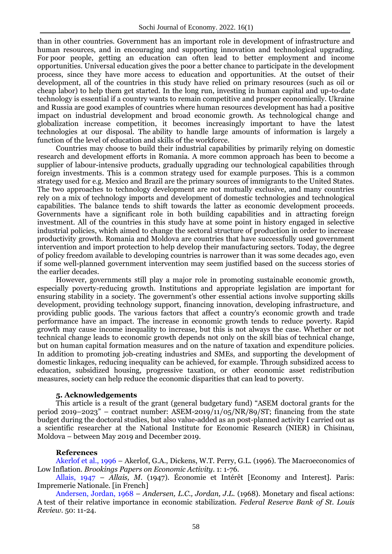than in other countries. Government has an important role in development of infrastructure and human resources, and in encouraging and supporting innovation and technological upgrading. For poor people, getting an education can often lead to better employment and income opportunities. Universal education gives the poor a better chance to participate in the development process, since they have more access to education and opportunities. At the outset of their development, all of the countries in this study have relied on primary resources (such as oil or cheap labor) to help them get started. In the long run, investing in human capital and up-to-date technology is essential if a country wants to remain competitive and prosper economically. Ukraine and Russia are good examples of countries where human resources development has had a positive impact on industrial development and broad economic growth. As technological change and globalization increase competition, it becomes increasingly important to have the latest technologies at our disposal. The ability to handle large amounts of information is largely a function of the level of education and skills of the workforce.

Countries may choose to build their industrial capabilities by primarily relying on domestic research and development efforts in Romania. A more common approach has been to become a supplier of labour-intensive products, gradually upgrading our technological capabilities through foreign investments. This is a common strategy used for example purposes. This is a common strategy used for e.g. Mexico and Brazil are the primary sources of immigrants to the United States. The two approaches to technology development are not mutually exclusive, and many countries rely on a mix of technology imports and development of domestic technologies and technological capabilities. The balance tends to shift towards the latter as economic development proceeds. Governments have a significant role in both building capabilities and in attracting foreign investment. All of the countries in this study have at some point in history engaged in selective industrial policies, which aimed to change the sectoral structure of production in order to increase productivity growth. Romania and Moldova are countries that have successfully used government intervention and import protection to help develop their manufacturing sectors. Today, the degree of policy freedom available to developing countries is narrower than it was some decades ago, even if some well-planned government intervention may seem justified based on the success stories of the earlier decades.

However, governments still play a major role in promoting sustainable economic growth, especially poverty-reducing growth. Institutions and appropriate legislation are important for ensuring stability in a society. The government's other essential actions involve supporting skills development, providing technology support, financing innovation, developing infrastructure, and providing public goods. The various factors that affect a country's economic growth and trade performance have an impact. The increase in economic growth tends to reduce poverty. Rapid growth may cause income inequality to increase, but this is not always the case. Whether or not technical change leads to economic growth depends not only on the skill bias of technical change, but on human capital formation measures and on the nature of taxation and expenditure policies. In addition to promoting job-creating industries and SMEs, and supporting the development of domestic linkages, reducing inequality can be achieved, for example. Through subsidized access to education, subsidized housing, progressive taxation, or other economic asset redistribution measures, society can help reduce the economic disparities that can lead to poverty.

## **5. Acknowledgements**

This article is a result of the grant (general budgetary fund) "ASEM doctoral grants for the period 2019–2023" – contract number: ASEM-2019/11/05/NR/89/ST; financing from the state budget during the doctoral studies, but also value-added as an post-planned activity I carried out as a scientific researcher at the National Institute for Economic Research (NIER) in Chisinau, Moldova – between May 2019 and December 2019.

#### **References**

Akerlof et al., 1996 – Akerlof, G.A., Dickens, W.T. Perry, G.L. (1996). The Macroeconomics of Low Inflation. *Brookings Papers on Economic Activity*. 1: 1-76.

Allais, 1947 – *Allais, M.* (1947). Économie et Intérêt [Economy and Interest]. Paris: Impremerie Nationale. [in French]

Andersen, Jordan, 1968 – *Andersen, L.C., Jordan, J.L.* (1968). Monetary and fiscal actions: A test of their relative importance in economic stabilization. *Federal Reserve Bank of St. Louis Review*. 50: 11-24.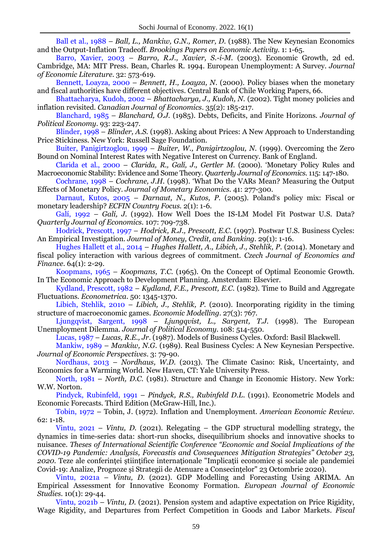Ball et al., 1988 – *Ball, L., Mankiw, G.N., Romer, D.* (1988). The New Keynesian Economics and the Output-Inflation Tradeoff. *Brookings Papers on Economic Activity.* 1: 1-65.

Barro, Xavier, 2003 – *Barro, R.J., Xavier, S.-i-M.* (2003). Economic Growth, 2d ed. Cambridge, MA: MIT Press. Bean, Charles R. 1994. European Unemployment: A Survey*. Journal of Economic Literature*. 32: 573-619.

Bennett, Loayza, 2000 – *Bennett, H., Loayza, N*. (2000). Policy biases when the monetary and fiscal authorities have different objectives. Central Bank of Chile Working Papers, 66.

Bhattacharya, Kudoh, 2002 – *Bhattacharya, J., Kudoh, N.* (2002). Tight money policies and inflation revisited. *Canadian Journal of Economics*. 35(2): 185-217.

Blanchard, 1985 – *Blanchard, O.J.* (1985). Debts, Deficits, and Finite Horizons. *Journal of Political Economy*. 93: 223-247.

Blinder, 1998 – *Blinder, A.S.* (1998). Asking about Prices: A New Approach to Understanding Price Stickiness. New York: Russell Sage Foundation.

Buiter, Panigirtzoglou, 1999 – *Buiter, W., Panigirtzoglou, N.* (1999). Overcoming the Zero Bound on Nominal Interest Rates with Negative Interest on Currency. Bank of England.

Clarida et al., 2000 – *Clarida, R., Galí, J., Gertler M.* (2000). 'Monetary Policy Rules and Macroeconomic Stability: Evidence and Some Theory. *Quarterly Journal of Economics.* 115: 147-180.

Cochrane, 1998 – *Cochrane, J.H.* (1998). 'What Do the VARs Mean? Measuring the Output Effects of Monetary Policy. *Journal of Monetary Economics.* 41: 277-300.

Darnaut, Kutos, 2005 – *Darnaut, N., Kutos, P.* (2005). Poland's policy mix: Fiscal or monetary leadership? *ECFIN Country Focus.* 2(1): 1-6.

Galí, 1992 – *Galí, J.* (1992). How Well Does the IS-LM Model Fit Postwar U.S. Data? *Quarterly Journal of Economics.* 107: 709-738.

Hodrick, Prescott, 1997 – *Hodrick, R.J., Prescott, E.C*. (1997). Postwar U.S. Business Cycles: An Empirical Investigation. *Journal of Money, Credit, and Banking.* 29(1): 1-16.

Hughes Hallett et al., 2014 – *Hughes Hallett, A., Libich, J., Stehlik, P*. (2014). Monetary and fiscal policy interaction with various degrees of commitment. *Czech Journal of Economics and Finance*. 64(1): 2-29.

Koopmans, 1965 – *Koopmans, T.C.* (1965). On the Concept of Optimal Economic Growth. In The Economic Approach to Development Planning. Amsterdam: Elsevier.

Kydland, Prescott, 1982 – *Kydland, F.E., Prescott, E.C.* (1982). Time to Build and Aggregate Fluctuations. *Econometrica.* 50: 1345-1370.

Libich, Stehlik, 2010 – *Libich, J., Stehlik, P.* (2010). Incorporating rigidity in the timing structure of macroeconomic games. *Economic Modelling.* 27(3): 767.

Ljungqvist, Sargent, 1998 – *Ljungqvist, L., Sargent, T.J.* (1998). The European Unemployment Dilemma. *Journal of Political Economy.* 108: 514-550.

Lucas, 1987 – *Lucas, R.E., Jr*. (1987). Models of Business Cycles. Oxford: Basil Blackwell.

Mankiw, 1989 – *Mankiw, N.G.* (1989). Real Business Cycles: A New Keynesian Perspective. *Journal of Economic Perspectives*. 3: 79-90.

Nordhaus, 2013 – *Nordhaus, W.D.* (2013). The Climate Casino: Risk, Uncertainty, and Economics for a Warming World. New Haven, CT: Yale University Press.

North, 1981 – *North, D.C.* (1981). Structure and Change in Economic History. New York: W.W. Norton.

Pindyck, Rubinfeld, 1991 – *Pindyck, R.S., Rubinfeld D.L*. (1991). Econometric Models and Economic Forecasts. Third Edition (McGraw-Hill, Inc.).

Tobin, 1972 – Tobin, J. (1972). Inflation and Unemployment. *American Economic Review.*  62: 1-18.

Vintu, 2021 – *Vintu, D.* (2021). Relegating – the GDP structural modelling strategy, the dynamics in time-series data: short-run shocks, disequilibrium shocks and innovative shocks to nuisance. *Theses of International Scientific Conference "Economic and Social Implications of the COVID-19 Pandemic: Analysis, Forecastis and Consequences Mitigation Strategies" October 23, 2020.* Teze ale conferinței științifice internaționale "Implicații economice și sociale ale pandemiei Covid-19: Analize, Prognoze și Strategii de Atenuare a Consecințelor" 23 Octombrie 2020).

Vintu, 2021a – *Vintu, D.* (2021). GDP Modelling and Forecasting Using ARIMA. An Empirical Assessment for Innovative Economy Formation. *European Journal of Economic Studies.* 10(1): 29-44.

Vintu, 2021b – *Vintu, D.* (2021). Pension system and adaptive expectation on Price Rigidity, Wage Rigidity, and Departures from Perfect Competition in Goods and Labor Markets. *Fiscal*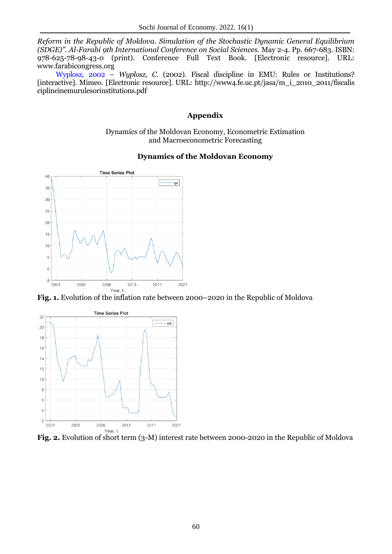*Reform in the Republic of Moldova. Simulation of the Stochastic Dynamic General Equilibrium (SDGE)". Al-Farabi 9th International Conference on Social Sciences.* May 2-4. Pp. 667-683. ISBN: 978-625-78-98-43-0 (print). Conference Full Text Book. [Electronic resource]. URL: www.farabicongress.org

Wyplosz, 2002 – *Wyplosz, C.* (2002). Fiscal discipline in EMU: Rules or Institutions? [interactive]. Mimeo. [Electronic resource]. URL: http://www4.fe.uc.pt/jasa/m\_i\_2010\_2011/fiscalis ciplineinemurulesorinstitutions.pdf

### **Appendix**

Dynamics of the Moldovan Economy, Econometric Estimation and Macroeconometric Forecasting

#### **Dynamics of the Moldovan Economy**



**Fig. 1.** Evolution of the inflation rate between 2000–2020 in the Republic of Moldova



**Fig. 2.** Evolution of short term (3-M) interest rate between 2000-2020 in the Republic of Moldova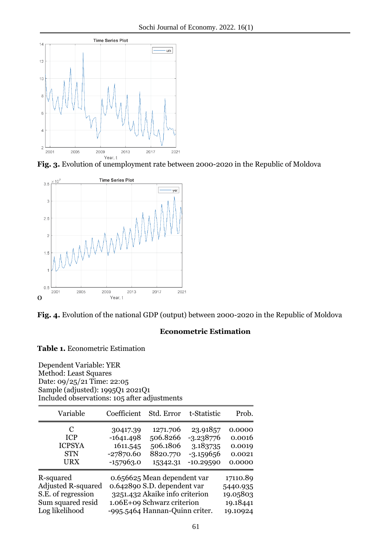

**Fig. 3.** Evolution of unemployment rate between 2000-2020 in the Republic of Moldova





### **Econometric Estimation**

#### **Table 1.** Econometric Estimation

Dependent Variable: YER Method: Least Squares Date: 09/25/21 Time: 22:05 Sample (adjusted): 1995Q1 2021Q1 Included observations: 105 after adjustments

| Variable                  | Coefficient                    | Std. Error                     | t-Statistic | Prob.    |
|---------------------------|--------------------------------|--------------------------------|-------------|----------|
| C                         | 30417.39                       | 1271.706                       | 23.91857    | 0.0000   |
| <b>ICP</b>                | $-1641.498$                    | 506.8266                       | $-3.238776$ | 0.0016   |
| <b>ICPSYA</b>             | 1611.545                       | 506.1806                       | 3.183735    | 0.0019   |
| <b>STN</b>                | $-27870.60$                    | 8820.770                       | $-3.159656$ | 0.0021   |
| URX                       | $-157963.0$                    | 15342.31                       | $-10.29590$ | 0.0000   |
| R-squared                 | 0.656625 Mean dependent var    | 17110.89                       |             |          |
| <b>Adjusted R-squared</b> |                                | 0.642890 S.D. dependent var    |             | 5440.935 |
| S.E. of regression        |                                | 3251.432 Akaike info criterion |             | 19.05803 |
| Sum squared resid         | 1.06E+09 Schwarz criterion     | 19.18441                       |             |          |
| Log likelihood            | -995.5464 Hannan-Quinn criter. | 19.10924                       |             |          |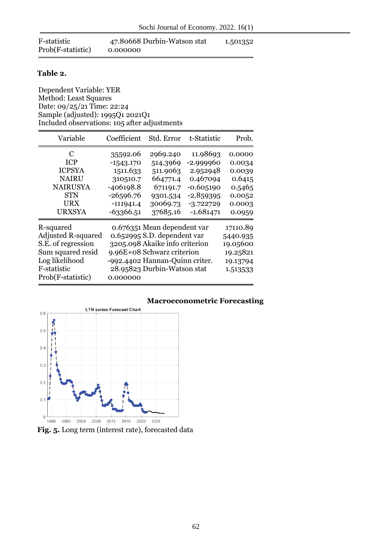| F-statistic       | 47.80668 Durbin-Watson stat | 1.501352 |
|-------------------|-----------------------------|----------|
| Prob(F-statistic) | 0.000000                    |          |

### **Table 2.**

Dependent Variable: YER Method: Least Squares Date: 09/25/21 Time: 22:24 Sample (adjusted): 1995Q1 2021Q1 Included observations: 105 after adjustments

| Variable                                                                                                                                | Coefficient                                                                                                 | Std. Error                                                                                                                                                                                  | t-Statistic                                                                                                 | Prob.                                                                        |
|-----------------------------------------------------------------------------------------------------------------------------------------|-------------------------------------------------------------------------------------------------------------|---------------------------------------------------------------------------------------------------------------------------------------------------------------------------------------------|-------------------------------------------------------------------------------------------------------------|------------------------------------------------------------------------------|
| C<br><b>ICP</b><br><b>ICPSYA</b><br><b>NAIRU</b><br><b>NAIRUSYA</b><br><b>STN</b><br>URX<br><b>URXSYA</b>                               | 35592.06<br>$-1543.170$<br>1511.633<br>310510.7<br>$-406198.8$<br>$-26596.76$<br>$-111941.4$<br>$-63366.51$ | 2969.240<br>514.3969<br>511.9063<br>664771.4<br>671191.7<br>9301.534<br>30069.73<br>37685.16                                                                                                | 11.98693<br>$-2.999960$<br>2.952948<br>0.467094<br>$-0.605190$<br>$-2.859395$<br>$-3.722729$<br>$-1.681471$ | 0.0000<br>0.0034<br>0.0039<br>0.6415<br>0.5465<br>0.0052<br>0.0003<br>0.0959 |
| R-squared<br><b>Adjusted R-squared</b><br>S.E. of regression<br>Sum squared resid<br>Log likelihood<br>F-statistic<br>Prob(F-statistic) | 0.000000                                                                                                    | 0.676351 Mean dependent var<br>0.652995 S.D. dependent var<br>3205.098 Akaike info criterion<br>9.96E+08 Schwarz criterion<br>-992.4402 Hannan-Quinn criter.<br>28.95823 Durbin-Watson stat |                                                                                                             | 17110.89<br>5440.935<br>19.05600<br>19.25821<br>19.13794<br>1.513533         |

### **Macroeconometric Forecasting LTN series Forecast Chart**  $0.6$ ç  $0.5$ Π  $0.4$  $0.3$  $0.2$  $0.1$  $\mathbf 0$ 1996 2000 2004 2008 2012 2016 2020 2024

**Fig. 5.** Long term (interest rate), forecasted data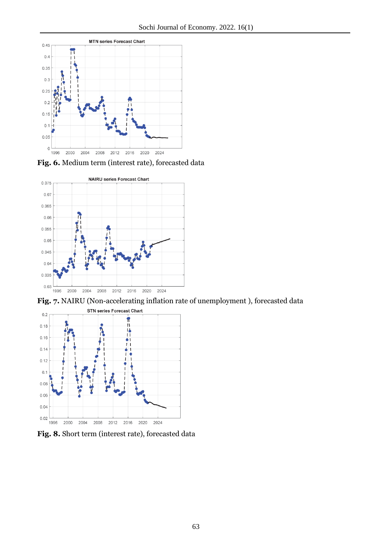

**Fig. 6.** Medium term (interest rate), forecasted data



**Fig. 7.** NAIRU (Non-accelerating inflation rate of unemployment ), forecasted data



**Fig. 8.** Short term (interest rate), forecasted data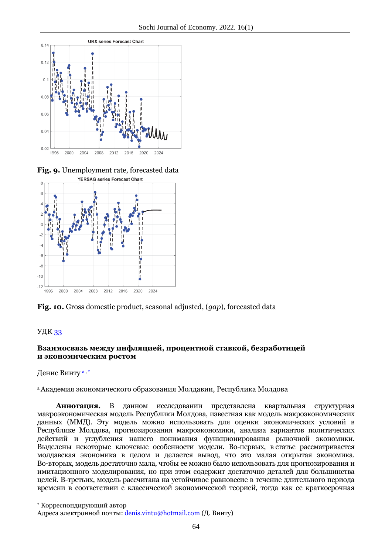

**Fig. 9.** Unemployment rate, forecasted data



**Fig. 10.** Gross domestic product, seasonal adjusted, (*gap*), forecasted data

# УДК 33

1

# **Взаимосвязь между инфляцией, процентной ставкой, безработицей и экономическим ростом**

Денис Винту<sup>а,\*</sup>

<sup>a</sup>Академия экономического образования Молдавии, Республика Молдова

**Аннотация.** В данном исследовании представлена квартальная структурная макроэкономическая модель Республики Молдова, известная как модель макроэкономических данных (ММД). Эту модель можно использовать для оценки экономических условий в Республике Молдова, прогнозирования макроэкономики, анализа вариантов политических действий и углубления нашего понимания функционирования рыночной экономики. Выделены некоторые ключевые особенности модели. Во-первых, в статье рассматривается молдавская экономика в целом и делается вывод, что это малая открытая экономика. Во-вторых, модель достаточно мала, чтобы ее можно было использовать для прогнозирования и имитационного моделирования, но при этом содержит достаточно деталей для большинства целей. В-третьих, модель рассчитана на устойчивое равновесие в течение длительного периода времени в соответствии с классической экономической теорией, тогда как ее краткосрочная

<sup>\*</sup> Корреспондирующий автор

Адреса электронной почты: denis.vintu@hotmail.com (Д. Винту)